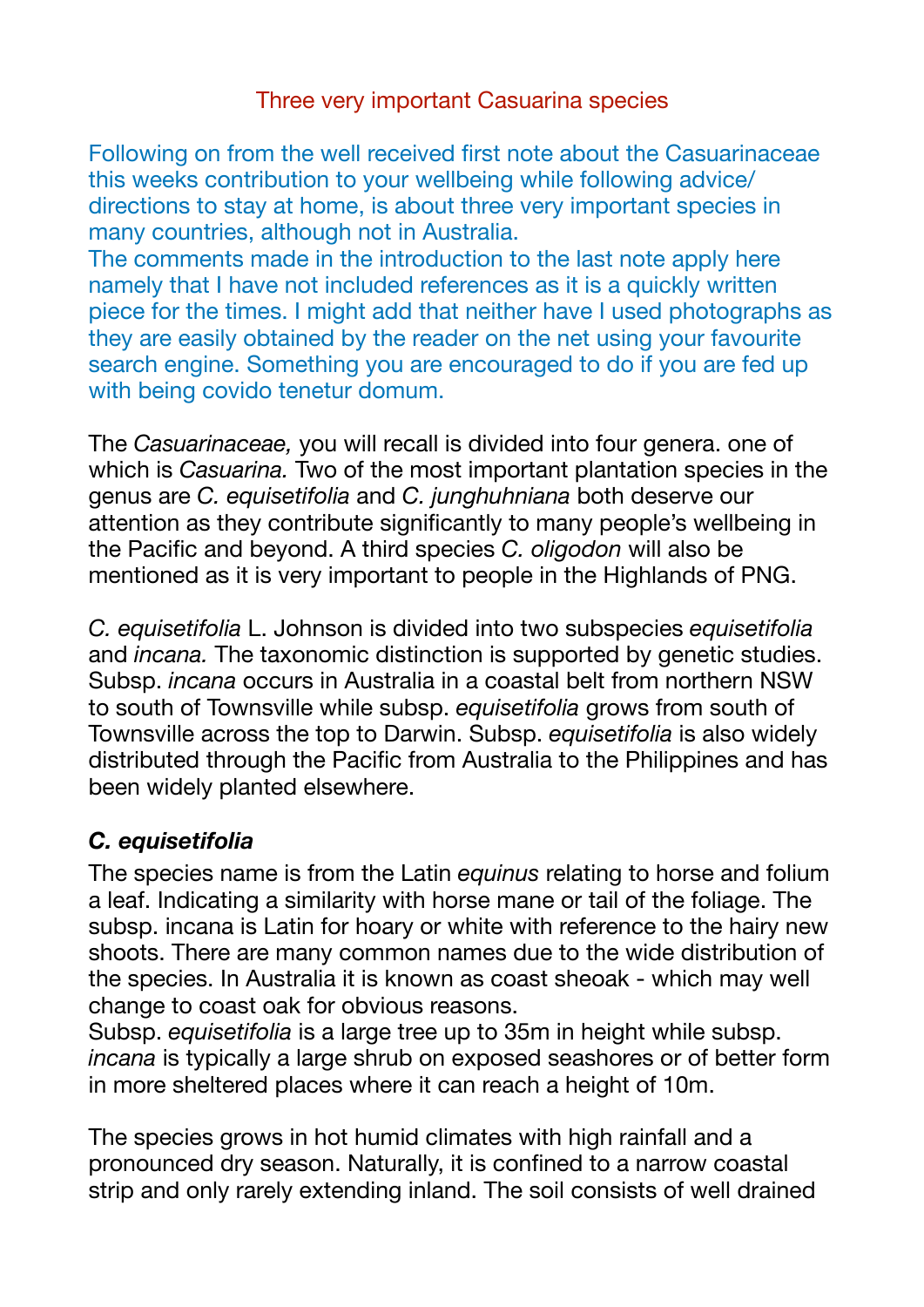Following on from the well received first note about the Casuarinaceae this weeks contribution to your wellbeing while following advice/ directions to stay at home, is about three very important species in many countries, although not in Australia.

The comments made in the introduction to the last note apply here namely that I have not included references as it is a quickly written piece for the times. I might add that neither have I used photographs as they are easily obtained by the reader on the net using your favourite search engine. Something you are encouraged to do if you are fed up with being covido tenetur domum.

The *Casuarinaceae,* you will recall is divided into four genera. one of which is *Casuarina.* Two of the most important plantation species in the genus are *C. equisetifolia* and *C. junghuhniana* both deserve our attention as they contribute significantly to many people's wellbeing in the Pacific and beyond. A third species *C. oligodon* will also be mentioned as it is very important to people in the Highlands of PNG.

*C. equisetifolia* L. Johnson is divided into two subspecies *equisetifolia*  and *incana.* The taxonomic distinction is supported by genetic studies. Subsp. *incana* occurs in Australia in a coastal belt from northern NSW to south of Townsville while subsp. *equisetifolia* grows from south of Townsville across the top to Darwin. Subsp. *equisetifolia* is also widely distributed through the Pacific from Australia to the Philippines and has been widely planted elsewhere.

## *C. equisetifolia*

The species name is from the Latin *equinus* relating to horse and folium a leaf. Indicating a similarity with horse mane or tail of the foliage. The subsp. incana is Latin for hoary or white with reference to the hairy new shoots. There are many common names due to the wide distribution of the species. In Australia it is known as coast sheoak - which may well change to coast oak for obvious reasons.

Subsp. *equisetifolia* is a large tree up to 35m in height while subsp. *incana* is typically a large shrub on exposed seashores or of better form in more sheltered places where it can reach a height of 10m.

The species grows in hot humid climates with high rainfall and a pronounced dry season. Naturally, it is confined to a narrow coastal strip and only rarely extending inland. The soil consists of well drained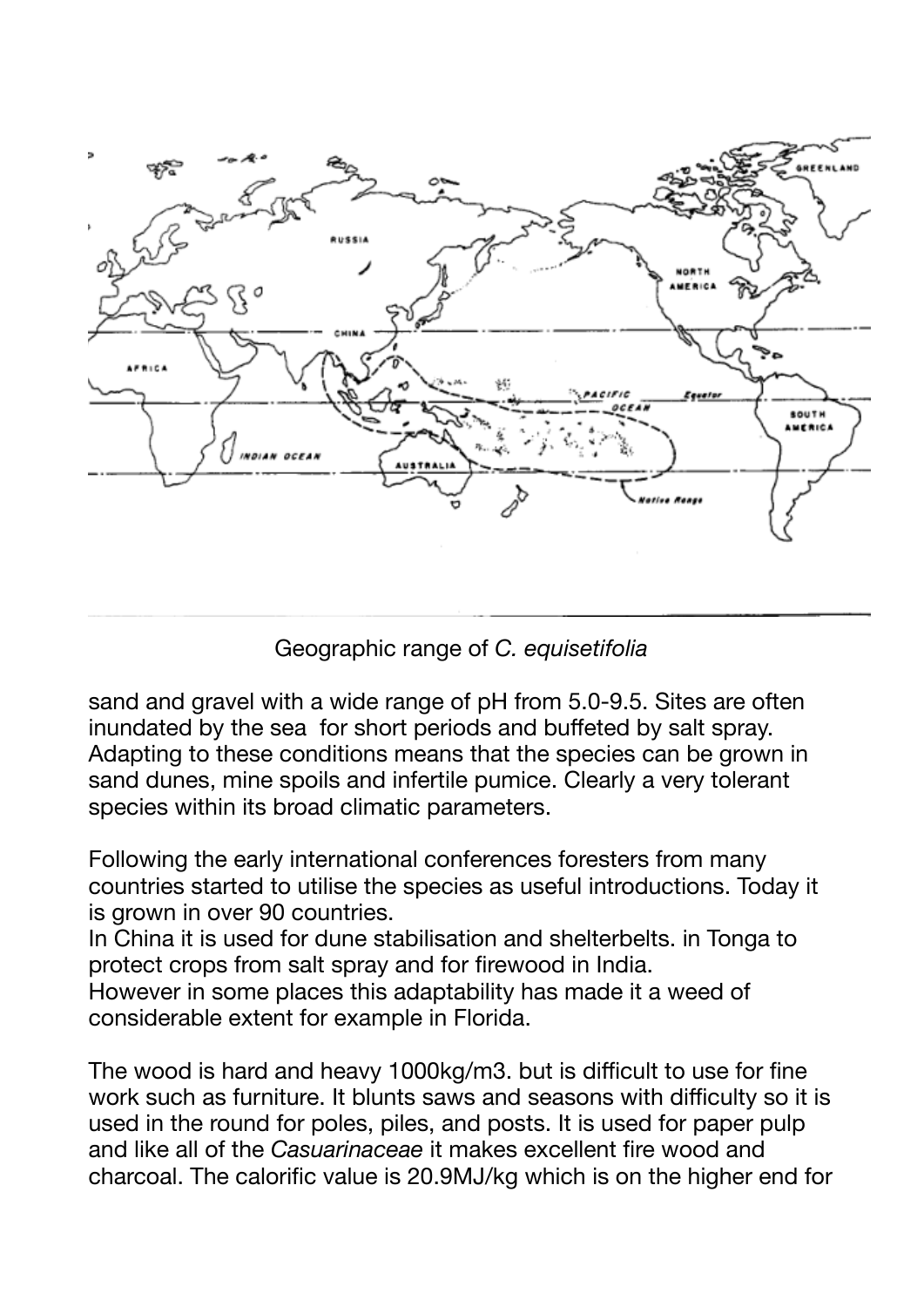

Geographic range of *C. equisetifolia*

sand and gravel with a wide range of pH from 5.0-9.5. Sites are often inundated by the sea for short periods and buffeted by salt spray. Adapting to these conditions means that the species can be grown in sand dunes, mine spoils and infertile pumice. Clearly a very tolerant species within its broad climatic parameters.

Following the early international conferences foresters from many countries started to utilise the species as useful introductions. Today it is grown in over 90 countries.

In China it is used for dune stabilisation and shelterbelts. in Tonga to protect crops from salt spray and for firewood in India.

However in some places this adaptability has made it a weed of considerable extent for example in Florida.

The wood is hard and heavy 1000kg/m3. but is difficult to use for fine work such as furniture. It blunts saws and seasons with difficulty so it is used in the round for poles, piles, and posts. It is used for paper pulp and like all of the *Casuarinaceae* it makes excellent fire wood and charcoal. The calorific value is 20.9MJ/kg which is on the higher end for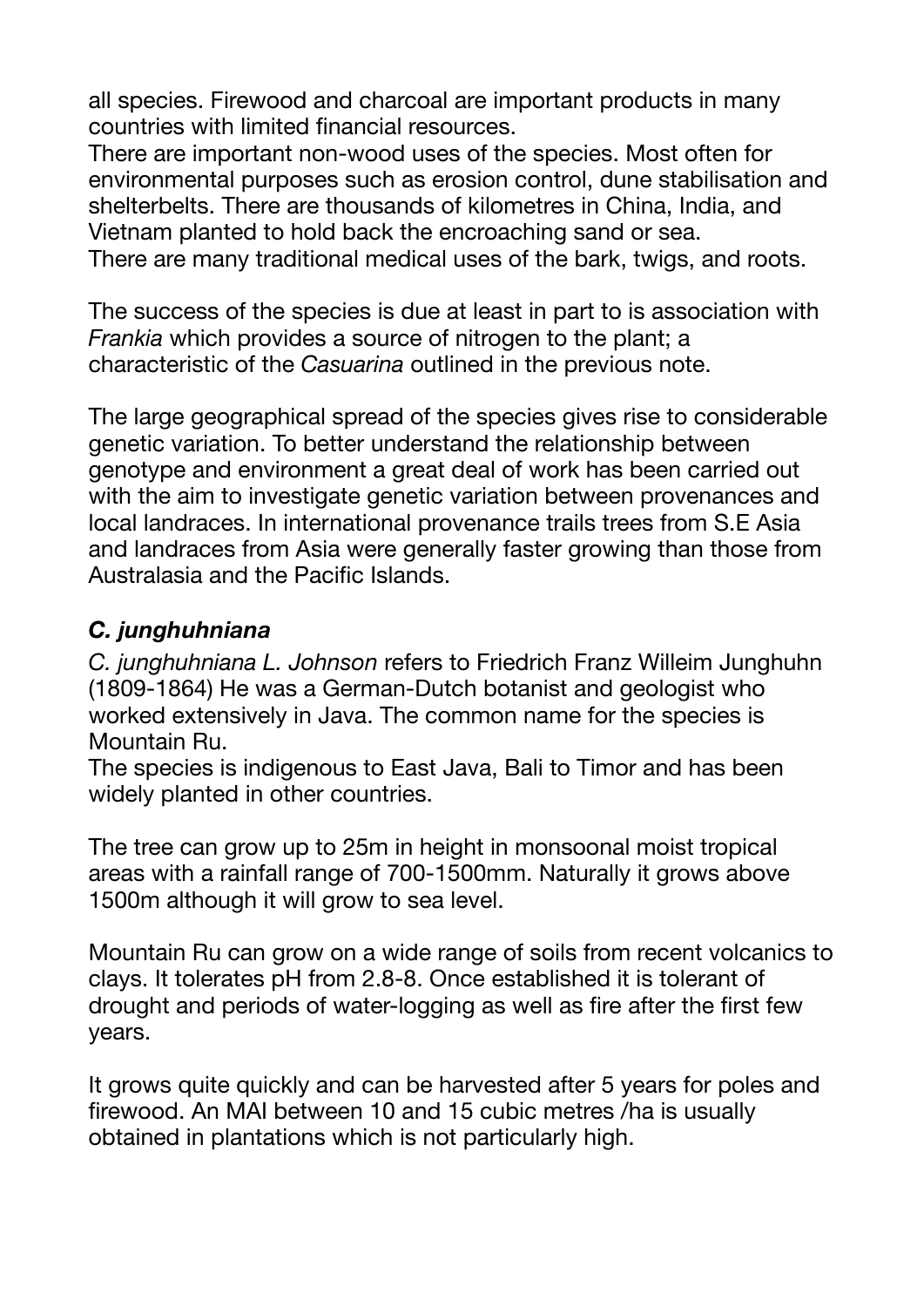all species. Firewood and charcoal are important products in many countries with limited financial resources.

There are important non-wood uses of the species. Most often for environmental purposes such as erosion control, dune stabilisation and shelterbelts. There are thousands of kilometres in China, India, and Vietnam planted to hold back the encroaching sand or sea. There are many traditional medical uses of the bark, twigs, and roots.

The success of the species is due at least in part to is association with *Frankia* which provides a source of nitrogen to the plant; a characteristic of the *Casuarina* outlined in the previous note.

The large geographical spread of the species gives rise to considerable genetic variation. To better understand the relationship between genotype and environment a great deal of work has been carried out with the aim to investigate genetic variation between provenances and local landraces. In international provenance trails trees from S.E Asia and landraces from Asia were generally faster growing than those from Australasia and the Pacific Islands.

## *C. junghuhniana*

*C. junghuhniana L. Johnson* refers to Friedrich Franz Willeim Junghuhn (1809-1864) He was a German-Dutch botanist and geologist who worked extensively in Java. The common name for the species is Mountain Ru.

The species is indigenous to East Java, Bali to Timor and has been widely planted in other countries.

The tree can grow up to 25m in height in monsoonal moist tropical areas with a rainfall range of 700-1500mm. Naturally it grows above 1500m although it will grow to sea level.

Mountain Ru can grow on a wide range of soils from recent volcanics to clays. It tolerates pH from 2.8-8. Once established it is tolerant of drought and periods of water-logging as well as fire after the first few years.

It grows quite quickly and can be harvested after 5 years for poles and firewood. An MAI between 10 and 15 cubic metres /ha is usually obtained in plantations which is not particularly high.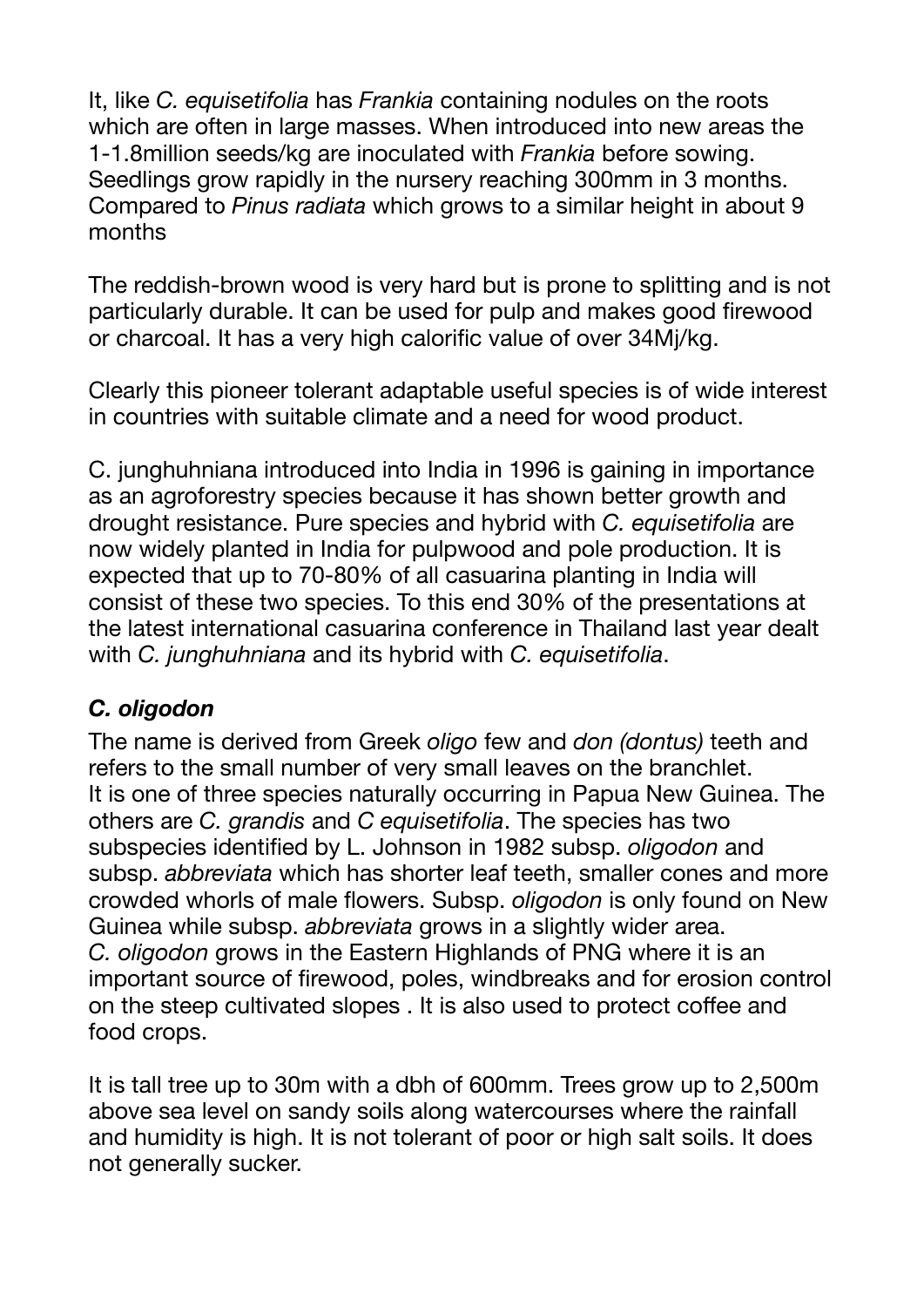It, like *C. equisetifolia* has *Frankia* containing nodules on the roots which are often in large masses. When introduced into new areas the 1-1.8million seeds/kg are inoculated with *Frankia* before sowing. Seedlings grow rapidly in the nursery reaching 300mm in 3 months. Compared to *Pinus radiata* which grows to a similar height in about 9 months

The reddish-brown wood is very hard but is prone to splitting and is not particularly durable. It can be used for pulp and makes good firewood or charcoal. It has a very high calorific value of over 34Mj/kg.

Clearly this pioneer tolerant adaptable useful species is of wide interest in countries with suitable climate and a need for wood product.

C. junghuhniana introduced into India in 1996 is gaining in importance as an agroforestry species because it has shown better growth and drought resistance. Pure species and hybrid with *C. equisetifolia* are now widely planted in India for pulpwood and pole production. It is expected that up to 70-80% of all casuarina planting in India will consist of these two species. To this end 30% of the presentations at the latest international casuarina conference in Thailand last year dealt with *C. junghuhniana* and its hybrid with *C. equisetifolia*.

## *C. oligodon*

The name is derived from Greek *oligo* few and *don (dontus)* teeth and refers to the small number of very small leaves on the branchlet. It is one of three species naturally occurring in Papua New Guinea. The others are *C. grandis* and *C equisetifolia*. The species has two subspecies identified by L. Johnson in 1982 subsp. *oligodon* and subsp. *abbreviata* which has shorter leaf teeth, smaller cones and more crowded whorls of male flowers. Subsp. *oligodon* is only found on New Guinea while subsp. *abbreviata* grows in a slightly wider area. *C. oligodon* grows in the Eastern Highlands of PNG where it is an important source of firewood, poles, windbreaks and for erosion control on the steep cultivated slopes . It is also used to protect coffee and food crops.

It is tall tree up to 30m with a dbh of 600mm. Trees grow up to 2,500m above sea level on sandy soils along watercourses where the rainfall and humidity is high. It is not tolerant of poor or high salt soils. It does not generally sucker.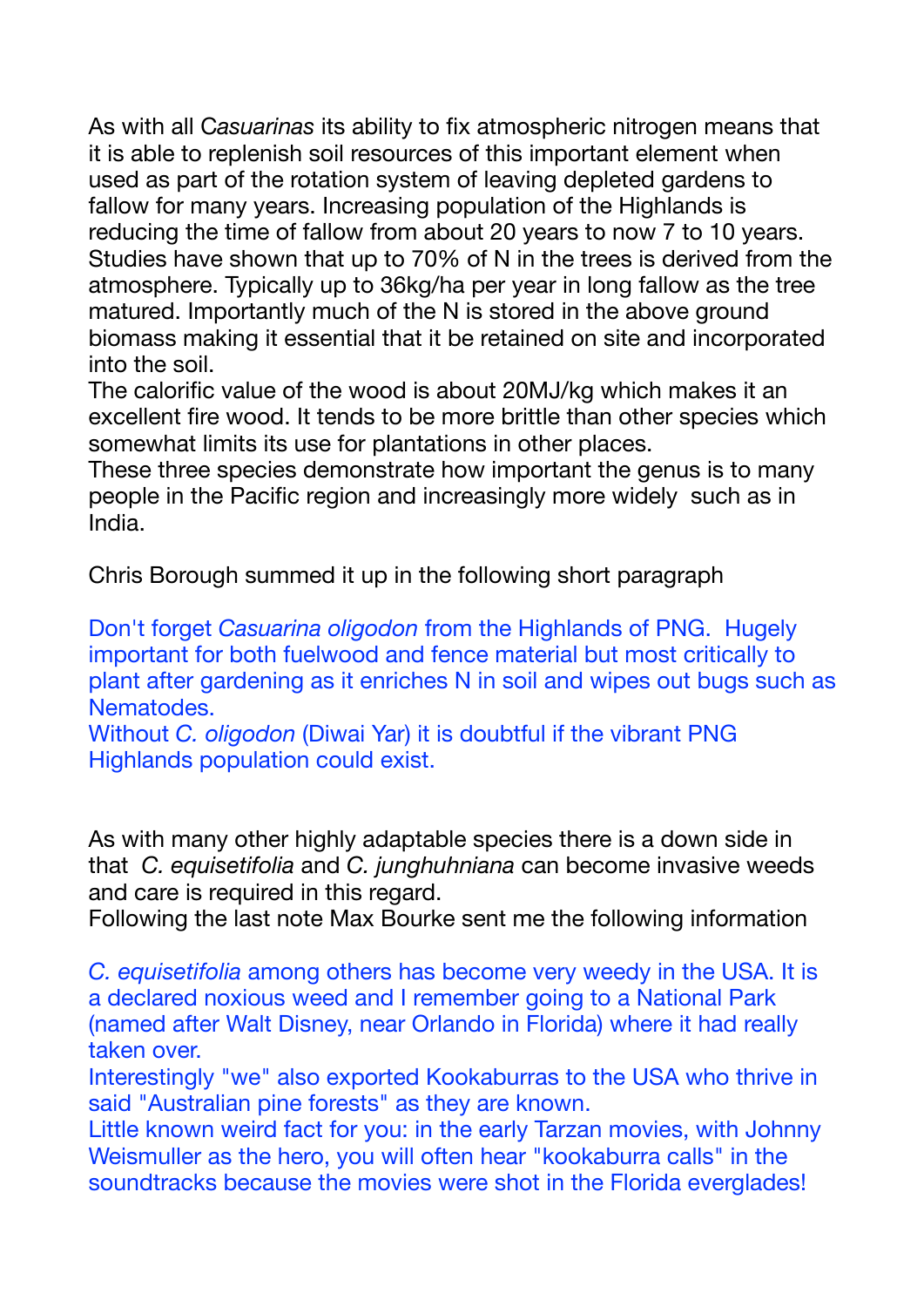As with all C*asuarinas* its ability to fix atmospheric nitrogen means that it is able to replenish soil resources of this important element when used as part of the rotation system of leaving depleted gardens to fallow for many years. Increasing population of the Highlands is reducing the time of fallow from about 20 years to now 7 to 10 years. Studies have shown that up to 70% of N in the trees is derived from the atmosphere. Typically up to 36kg/ha per year in long fallow as the tree matured. Importantly much of the N is stored in the above ground biomass making it essential that it be retained on site and incorporated into the soil.

The calorific value of the wood is about 20MJ/kg which makes it an excellent fire wood. It tends to be more brittle than other species which somewhat limits its use for plantations in other places.

These three species demonstrate how important the genus is to many people in the Pacific region and increasingly more widely such as in India.

Chris Borough summed it up in the following short paragraph

Don't forget *Casuarina oligodon* from the Highlands of PNG. Hugely important for both fuelwood and fence material but most critically to plant after gardening as it enriches N in soil and wipes out bugs such as Nematodes.

Without *C. oligodon* (Diwai Yar) it is doubtful if the vibrant PNG Highlands population could exist.

As with many other highly adaptable species there is a down side in that *C. equisetifolia* and *C. junghuhniana* can become invasive weeds and care is required in this regard.

Following the last note Max Bourke sent me the following information

*C. equisetifolia* among others has become very weedy in the USA. It is a declared noxious weed and I remember going to a National Park (named after Walt Disney, near Orlando in Florida) where it had really taken over.

Interestingly "we" also exported Kookaburras to the USA who thrive in said "Australian pine forests" as they are known.

Little known weird fact for you: in the early Tarzan movies, with Johnny Weismuller as the hero, you will often hear "kookaburra calls" in the soundtracks because the movies were shot in the Florida everglades!